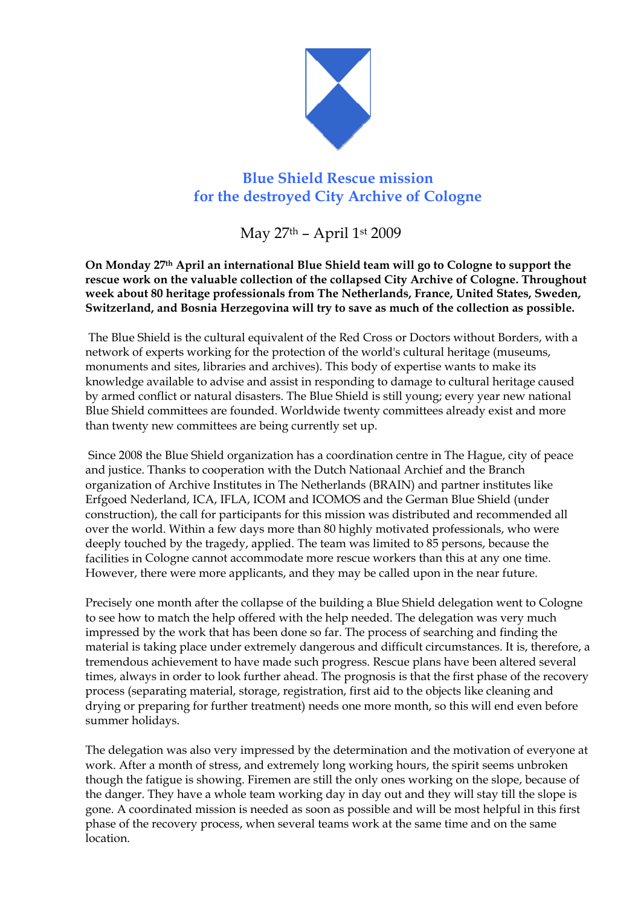

## **Blue Shield Rescue mission for the destroyed City Archive of Cologne**

May 27th – April 1st 2009

**On Monday 27th April an international Blue Shield team will go to Cologne to support the rescue work on the valuable collection of the collapsed City Archive of Cologne. Throughout week about 80 heritage professionals from The Netherlands, France, United States, Sweden, Switzerland, and Bosnia Herzegovina will try to save as much of the collection as possible.** 

The Blue Shield is the cultural equivalent of the Red Cross or Doctors without Borders, with a network of experts working for the protection of the world's cultural heritage (museums, monuments and sites, libraries and archives). This body of expertise wants to make its knowledge available to advise and assist in responding to damage to cultural heritage caused by armed conflict or natural disasters. The Blue Shield is still young; every year new national Blue Shield committees are founded. Worldwide twenty committees already exist and more than twenty new committees are being currently set up.

 Since 2008 the Blue Shield organization has a coordination centre in The Hague, city of peace and justice. Thanks to cooperation with the Dutch Nationaal Archief and the Branch organization of Archive Institutes in The Netherlands (BRAIN) and partner institutes like Erfgoed Nederland, ICA, IFLA, ICOM and ICOMOS and the German Blue Shield (under construction), the call for participants for this mission was distributed and recommended all over the world. Within a few days more than 80 highly motivated professionals, who were deeply touched by the tragedy, applied. The team was limited to 85 persons, because the facilities in Cologne cannot accommodate more rescue workers than this at any one time. However, there were more applicants, and they may be called upon in the near future.

Precisely one month after the collapse of the building a Blue Shield delegation went to Cologne to see how to match the help offered with the help needed. The delegation was very much impressed by the work that has been done so far. The process of searching and finding the material is taking place under extremely dangerous and difficult circumstances. It is, therefore, a tremendous achievement to have made such progress. Rescue plans have been altered several times, always in order to look further ahead. The prognosis is that the first phase of the recovery process (separating material, storage, registration, first aid to the objects like cleaning and drying or preparing for further treatment) needs one more month, so this will end even before summer holidays.

The delegation was also very impressed by the determination and the motivation of everyone at work. After a month of stress, and extremely long working hours, the spirit seems unbroken though the fatigue is showing. Firemen are still the only ones working on the slope, because of the danger. They have a whole team working day in day out and they will stay till the slope is gone. A coordinated mission is needed as soon as possible and will be most helpful in this first phase of the recovery process, when several teams work at the same time and on the same location.